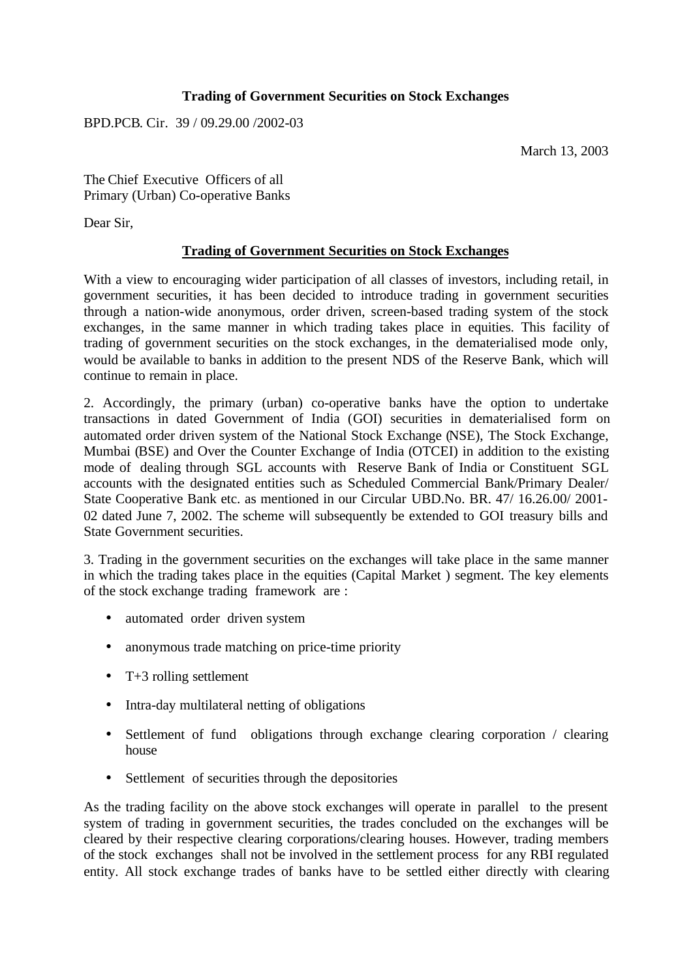## **Trading of Government Securities on Stock Exchanges**

BPD.PCB. Cir. 39 / 09.29.00 /2002-03

March 13, 2003

The Chief Executive Officers of all Primary (Urban) Co-operative Banks

Dear Sir,

## **Trading of Government Securities on Stock Exchanges**

With a view to encouraging wider participation of all classes of investors, including retail, in government securities, it has been decided to introduce trading in government securities through a nation-wide anonymous, order driven, screen-based trading system of the stock exchanges, in the same manner in which trading takes place in equities. This facility of trading of government securities on the stock exchanges, in the dematerialised mode only, would be available to banks in addition to the present NDS of the Reserve Bank, which will continue to remain in place.

2. Accordingly, the primary (urban) co-operative banks have the option to undertake transactions in dated Government of India (GOI) securities in dematerialised form on automated order driven system of the National Stock Exchange (NSE), The Stock Exchange, Mumbai (BSE) and Over the Counter Exchange of India (OTCEI) in addition to the existing mode of dealing through SGL accounts with Reserve Bank of India or Constituent SGL accounts with the designated entities such as Scheduled Commercial Bank/Primary Dealer/ State Cooperative Bank etc. as mentioned in our Circular UBD.No. BR. 47/ 16.26.00/ 2001- 02 dated June 7, 2002. The scheme will subsequently be extended to GOI treasury bills and State Government securities.

3. Trading in the government securities on the exchanges will take place in the same manner in which the trading takes place in the equities (Capital Market ) segment. The key elements of the stock exchange trading framework are :

- automated order driven system
- anonymous trade matching on price-time priority
- T+3 rolling settlement
- Intra-day multilateral netting of obligations
- Settlement of fund obligations through exchange clearing corporation / clearing house
- Settlement of securities through the depositories

As the trading facility on the above stock exchanges will operate in parallel to the present system of trading in government securities, the trades concluded on the exchanges will be cleared by their respective clearing corporations/clearing houses. However, trading members of the stock exchanges shall not be involved in the settlement process for any RBI regulated entity. All stock exchange trades of banks have to be settled either directly with clearing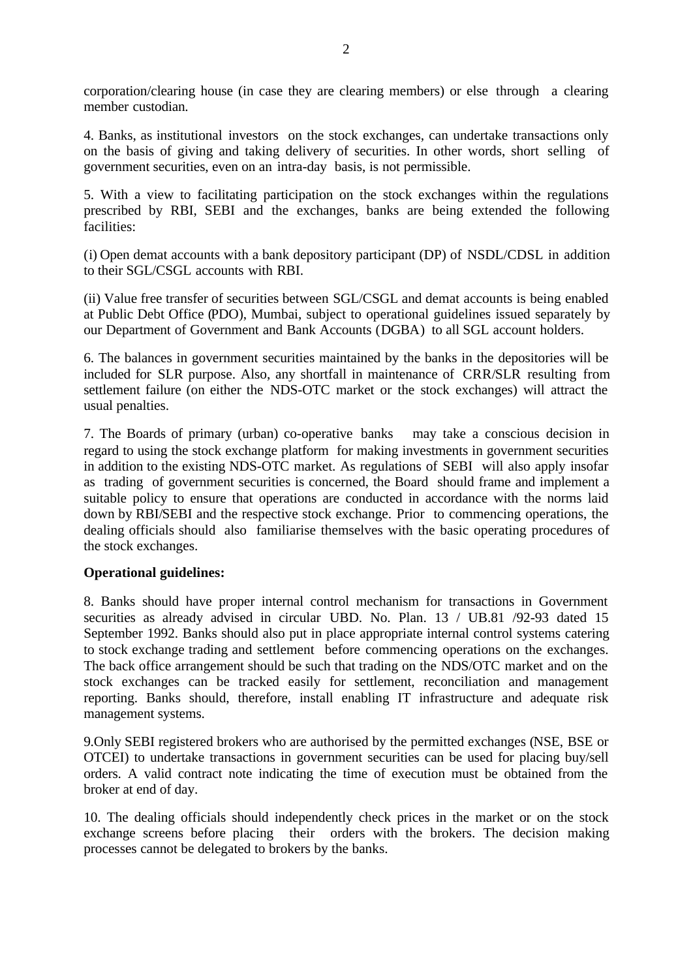corporation/clearing house (in case they are clearing members) or else through a clearing member custodian.

4. Banks, as institutional investors on the stock exchanges, can undertake transactions only on the basis of giving and taking delivery of securities. In other words, short selling of government securities, even on an intra-day basis, is not permissible.

5. With a view to facilitating participation on the stock exchanges within the regulations prescribed by RBI, SEBI and the exchanges, banks are being extended the following facilities:

(i) Open demat accounts with a bank depository participant (DP) of NSDL/CDSL in addition to their SGL/CSGL accounts with RBI.

(ii) Value free transfer of securities between SGL/CSGL and demat accounts is being enabled at Public Debt Office (PDO), Mumbai, subject to operational guidelines issued separately by our Department of Government and Bank Accounts (DGBA) to all SGL account holders.

6. The balances in government securities maintained by the banks in the depositories will be included for SLR purpose. Also, any shortfall in maintenance of CRR/SLR resulting from settlement failure (on either the NDS-OTC market or the stock exchanges) will attract the usual penalties.

7. The Boards of primary (urban) co-operative banks may take a conscious decision in regard to using the stock exchange platform for making investments in government securities in addition to the existing NDS-OTC market. As regulations of SEBI will also apply insofar as trading of government securities is concerned, the Board should frame and implement a suitable policy to ensure that operations are conducted in accordance with the norms laid down by RBI/SEBI and the respective stock exchange. Prior to commencing operations, the dealing officials should also familiarise themselves with the basic operating procedures of the stock exchanges.

## **Operational guidelines:**

8. Banks should have proper internal control mechanism for transactions in Government securities as already advised in circular UBD. No. Plan. 13 / UB.81 /92-93 dated 15 September 1992. Banks should also put in place appropriate internal control systems catering to stock exchange trading and settlement before commencing operations on the exchanges. The back office arrangement should be such that trading on the NDS/OTC market and on the stock exchanges can be tracked easily for settlement, reconciliation and management reporting. Banks should, therefore, install enabling IT infrastructure and adequate risk management systems.

9.Only SEBI registered brokers who are authorised by the permitted exchanges (NSE, BSE or OTCEI) to undertake transactions in government securities can be used for placing buy/sell orders. A valid contract note indicating the time of execution must be obtained from the broker at end of day.

10. The dealing officials should independently check prices in the market or on the stock exchange screens before placing their orders with the brokers. The decision making processes cannot be delegated to brokers by the banks.